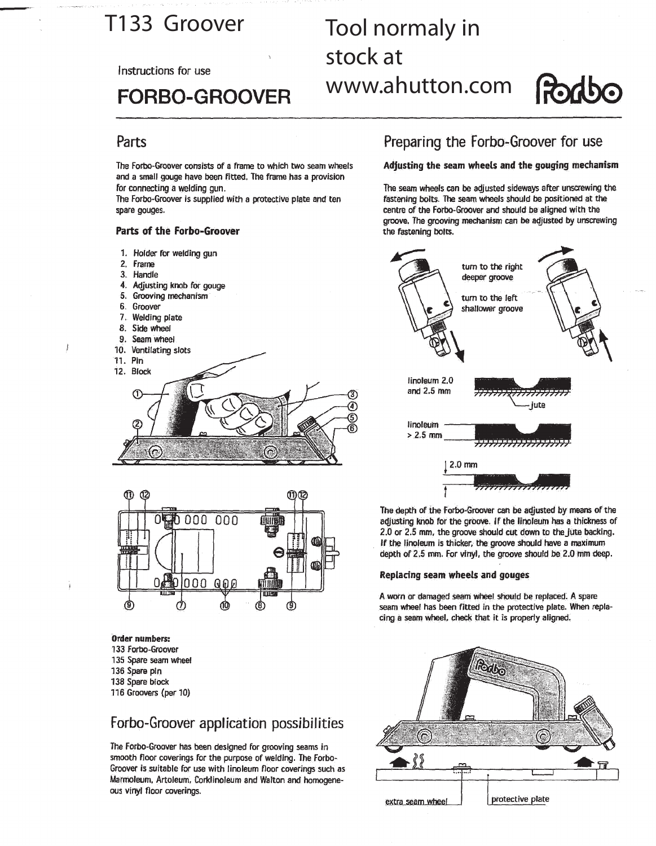## T133 Groover

Instructions for use

# **FORBO-GROOVER**

# Tool normaly in stock at www.ahutton.com

# **Radbo**

## Parts

The Forbo-Groover consists of a frame to which two seam wheels and a small gouge have been fitted. The frame has a provision for connecting a welding gun.

The Forbo-Groover is supplied with a protective plate and ten spare gouges.

#### Parts of the Forbo-Groover

- 1. Holder for welding gun
- 2. Frame
- 3. Handle
- 4. Adjusting knob for gouge
- 5. Grooving mechanism
- 6. Groover
- 7. Welding plate
- 8. Side wheel
- 9. Seam wheel
- 10. Ventilating slots
- 11. Pin

Ĭ





#### **Order numbers:**

- 133 Forbo-Groover 135 Spare searn wheel 136 Spare pin
- 138 Spare block 116 Groovers (per 10)

## Forbo-Groover application possibilities

The Forbo-Groover has been designed for grooving seams in smooth floor coverings for the purpose of welding. The Forbo-Groover is suitable for use with linoleum floor coverings such as Marmoleum, Artoleum, Corklinoleum and Walton and homogeneous vinyl floor coverings.

## Preparing the Forbo-Groover for use

### Adjusting the seam wheels and the gouging mechanism

The seam wheels can be adjusted sideways after unscrewing the fastening bolts. The seam wheels should be positioned at the centre of the Forbo-Groover and should be aligned with the groove. The grooving mechanism can be adjusted by unscrewing the fastening bolts.



The depth of the Forbo-Groover can be adjusted by means of the adjusting knob for the groove. If the linoleum has a thickness of 2.0 or 2.5 mm, the groove should cut down to the jute backing. If the linoleum is thicker, the groove should have a maximum depth of 2.5 mm. For vinyl, the groove should be 2.0 mm deep.

#### Replacing seam wheels and gouges

A worn or damaged seam wheel should be replaced. A spare seam wheel has been fitted in the protective plate. When replacing a seam wheel, check that it is properly aligned.